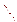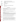| <b>AGENCY:</b>             | <b>ENVIRONMENTAL PROTECTION AGENCY (EPA)</b>                                                                                                                                                                                                                                                                     |  |  |  |
|----------------------------|------------------------------------------------------------------------------------------------------------------------------------------------------------------------------------------------------------------------------------------------------------------------------------------------------------------|--|--|--|
| <b>TITLE:</b>              | "COMMUNITY ACTION FOR A RENEWED ENVIRONMENT (CARE)<br>PROGRAM"                                                                                                                                                                                                                                                   |  |  |  |
| <b>ACTION:</b>             | <b>Request for Proposals (RFP)</b>                                                                                                                                                                                                                                                                               |  |  |  |
| <b>RFP Number:</b>         | EPA-OAR-IO-08-02                                                                                                                                                                                                                                                                                                 |  |  |  |
| <b>CFDA:</b>               | 66.035                                                                                                                                                                                                                                                                                                           |  |  |  |
| <b>SUMMARY:</b>            | Formal Agency responses to questions regarding the subject RFP                                                                                                                                                                                                                                                   |  |  |  |
| DATE:                      | <b>February 12, 2008</b>                                                                                                                                                                                                                                                                                         |  |  |  |
|                            |                                                                                                                                                                                                                                                                                                                  |  |  |  |
| <b>Eligible Applicants</b> |                                                                                                                                                                                                                                                                                                                  |  |  |  |
| Question 1:                | I am curious to know whether or not a community group that is not a non-profit is eligible for the<br>CARE grant? Does community organization have to be a 501c3? Are 501(c)(3)s eligible? Are<br>local hospital foundations eligible?                                                                           |  |  |  |
| Answer:                    | According to the RFP, a $501(c)(3)$ is eligible. A community group or hospital foundation or<br>other organization must be a non-profit as defined by OMB Circular A-122. The Circular<br>defines a non-profit as:                                                                                               |  |  |  |
|                            | "any corporation, trust, association, cooperative, or other organization which:                                                                                                                                                                                                                                  |  |  |  |
|                            | 1) is operated primarily for scientific, educational, service, charitable, or similar purposes in the<br>public interest;<br>(2) is not organized primarily for profit; and                                                                                                                                      |  |  |  |
|                            | (3) uses its net proceeds to maintain, improve, and/or expand its operations. For this purpose, the<br>term "non-profit organization" excludes (i) colleges and universities; (ii) hospitals; (iii) State,<br>local, and federally-recognized Indian tribal governments; and (iv) those non-profit organizations |  |  |  |

Question 2: I am not an agency, only an individual but looking over the grant requirements it is to prevent pollution; well that is what I am trying to do also. Is it possible for me to apply?

which are excluded from coverage of this Circular in accordance with paragraph 5.

Answer: Individuals are not eligible to apply for CARE Cooperative Agreements.

Question 3: Are local county health departments eligible to apply for CARE program funding?

Answer: If the county health department is an agency of the county or other local or tribal government entity they could apply. However, in some states the county health department is part of the State government. In those States they can not apply since State agencies are ineligible. They could of course be a partner working on a CARE project that has an eligible grantee.

Question 4: Is a Council of Governments eligible to be an applicant for the CARE Program? We are a regional planning organization that serves city and county governments who are members of the Council.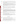|                      | Question 5:  | Will CARE consider funding a Level I and a Level II grant for a community? We would like to<br>submit a Level I grant but do not want to interfere with the community's larger collaboration that<br>may be seeking Level II funding.                                                                                                                                                                                                                                                                                               |
|----------------------|--------------|-------------------------------------------------------------------------------------------------------------------------------------------------------------------------------------------------------------------------------------------------------------------------------------------------------------------------------------------------------------------------------------------------------------------------------------------------------------------------------------------------------------------------------------|
|                      | Answer:      | According to the RFP an applicant (organization) can submit only one proposal. An<br>organization could partner in more than one CARE project or proposal. However, you should be<br>aware that it is EPA's intent, to the extent it can, provide geographic diversity in the CARE<br>projects. As a practical matter, it is highly unlikely that we would have two CARE Cooperative<br>Agreements in the same community.                                                                                                           |
|                      | Question 6:  | In Puerto Rico, nonprofits apply for certification under Section 1101 under the PR Internal<br>Revenue Code and are not directed to apply under any other code, are they eligible as non-<br>profits?                                                                                                                                                                                                                                                                                                                               |
|                      | Answer:      | If you are legally recognized as a non-profit in Puerto Rico you are eligible. Similarly, if an<br>organization qualifies as a non-profit organization under state law, that organization also is<br>eligible.                                                                                                                                                                                                                                                                                                                      |
|                      | Question 7:  | Are 501 C (4) non profits eligible to apply -or only 501(c) 3?                                                                                                                                                                                                                                                                                                                                                                                                                                                                      |
|                      | Answer:      | No. Non profits that meet the definition of non profit under OMB Circular A-122, with the<br>exception of Nonprofits that fall under Section 501(c)(4) of the Internal Revenue Act and lobby,<br>are eligible. Nonprofits can demonstrate eligibility by providing documentation of nonprofit<br>status under the state law in which the organization was incorporated or by providing evidence<br>that the IRS considers the organization exempt from taxation under $501(c)(3)$ , $501(c)(6)$ or<br>another provision of the IRS. |
|                      | Question 8:  | 1. Will the community spanning across the border be eligible providing that all other criteria<br>are met?<br>2. Are non-US institutions eligible to provide services/be partners providing that this is the<br>only option/the most efficient option available?                                                                                                                                                                                                                                                                    |
|                      | Answer:      | Border communities are eligible for funding provided the money goes to an American grantee.<br>Once an American grantee gets the money they can use a non-American entity to provide<br>services if all other criteria for efficiently spending money are met.                                                                                                                                                                                                                                                                      |
| <b>Documentation</b> |              |                                                                                                                                                                                                                                                                                                                                                                                                                                                                                                                                     |
|                      | Question 9:  | What kind of documents do you require from a subaward/subcontract?                                                                                                                                                                                                                                                                                                                                                                                                                                                                  |
|                      |              |                                                                                                                                                                                                                                                                                                                                                                                                                                                                                                                                     |
|                      | Answer:      | What EPA requires is outlined in Section IV, "Application and Submission Information", of the<br>RFP. Letters of commitment from a proposed subcontract is sufficient.                                                                                                                                                                                                                                                                                                                                                              |
|                      |              | Eligible entities/applicants whose initial proposals are tentatively selected for award will be<br>requested to submit final applications. EPA may request additional documentation regarding<br>subawards/subcontracts when final applications are submitted.                                                                                                                                                                                                                                                                      |
|                      | Question 10: | We hope to work with EPA around some of the project ideas we have, so we don't have specific                                                                                                                                                                                                                                                                                                                                                                                                                                        |

Answer: An organization of local government or local officials would be eligible to be an applicant.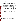breakdown of costs in some cases (i.e. in terms of personnel, contract, supplies). How would you like us to proceed?

Answer: Your budget narrative is an estimate. Guidance on preparing a budget can be found at:

## <http://www.epa.gov/ogd/recipient/tips.htm>

 EPA may request additional, more specific budget information when final applications are requested from those entities/applicants whose proposals have been tentatively selected for award.

- Question 11: In addressing the criteria "organizational capacity," it's not clear what information you want regarding prior EPA grants. Do you simply want to know that we are current with all required reports, or do you want to know what we have accomplished substantively?
- Answer: Your response should describe other projects that you have successfully managed, or organizational features and controls that will help ensure the project can be effectively managed and successfully completed. You must describe and provide substantiation of your ability to manage a project such as the one proposed. Please also describe the system(s) that will be used to appropriately manage, expend, and account for Federal funds. If the you are, or have been, a recipient of an EPA grant/cooperative agreement in the last 3 years the applicant must provide information regarding compliance reporting measures, and annual financial status reporting. If for some reason you have problems complying with some of the requirements of previous federal grants, you may also want to include how those problems were resolved and what measures have been put in place to avoid the same problems to happen in the future.
- Question 12: Regarding the letters of commitment from collaborating organizations, agencies, or entities, what level of commitment is required? For example, do we need to obtain a memorandum of understanding or is it fine to have a letter of commitment signed by the representative that will be collaborating with us on the project?
- Answer: A letter of commitment by a representative of the organization is sufficient. Please remember that EPA reserves the right to contact organizations to verify their commitment.
- Questions 13: Are there any required supporting documents for ex. 990-forms, bi-laws, articles of incorporation, IRS  $501(c)3$  tax letters etc. that need to be included with the grant application. We will be applying for a level I grant.
- Answer: No, you do not need to include these forms with your application, although you may be asked for some of them if you are selected.
- Questions 14: I am interesting in applying for a CARE Cooperative Agreement unfortunately I am unable to fill out the application over my computer, I was hoping you could tell me where to obtain the application papers. I look forward to your response

Answer: To get information on the EPA grant process including any grant related forms please go to: <http://www.epa.gov/ogd/>

> Alternatively, if you are willing to use a delivery service, instead of grants.gov to submit your application you can go to: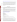<http://www.whitehouse.gov/omb/grants/sf424.pdf>and download the only "form" you need to fill out.

 In addition, to your SF 424 you must submit your Project Narrative as required by the Request for Proposals (RFP). While you must follow the format described in the RFP there is no specific form to download. Remember to follow the instructions and address the evaluation criteria.

Questions 15: We are submitting our CARE application via gants.gov. Can letters of support be attached to the application as a PDF file? I read in the RFP that the narrative should be in Word but didn't see any mention of what format is necessary for supplemental attachments? Thank you.

Answer: PDF files are fine.

#### **Speaking to Someone**

Question 16: I understand that formal questions are requested in writing, but it would be quite helpful to learn more informally about the genesis of the program and the results EPA hopes for. Is there a contact officer I can speak with to ask further detailed questions about the program or the details of my proposal?

## Answer: Because this is an open competitive opportunity, in the interest of fairness, we are unable to meet with individual potential applicants to discuss details of the program or proposal development. Specific questions regarding the solicitation to the must be submitted as stated in the RFP:

"All questions or comments must be communicated in writing via postal mail, facsimile, or by using our website listed above. Answers will be posted, bi-weekly, until the closing date of this announcement at the OAR Grants/Funding webpage [\(http://www.epa.gov/air/grants\\_funding.html\)](http://www.epa.gov/air/grants_funding.html).

Send mail to: US EPA Attn: CARE Program Mail Code 8001A 1200 Pennsylvania Avenue, NW Washington, DC 20460

Send fax to: 202-564-7739 (attention CARE program)

Go to our website, and click on the words contact us at the bottom of the screen: www.epa.gov/care"

Of course additional information about the program can be accessed at www.epa.gov/care.

Question 17: We have a specific idea and want to submit a question to the website to see if it is something that is eligible for CARE technical assistance? Can you provide any information?

Answer: Because this is a competitive process, we can not answer specific questions about whether one idea or another is eligible for funding. In addition, it is hard to evaluate projects based on short descriptions. However, in order to give you some guidance we would remind everyone that, as stated in the RFP, CARE will "form collaborative partnerships, develop a comprehensive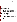understanding of all sources of risk from toxics and environmental pollutants, set priorities, and identify and carry out projects to reduce risks through collaborative action at the local level. CARE's long term goal is to help communities build self-sustaining, community-based partnerships that will continue to improve local environments into the future."

## **Costs and Funding**

|              | Question 18: Is the funding awarded per year or is the total amount to cover both years?                                                                                                                                                                                                                                                                                                                                                                                                                                                                                         |
|--------------|----------------------------------------------------------------------------------------------------------------------------------------------------------------------------------------------------------------------------------------------------------------------------------------------------------------------------------------------------------------------------------------------------------------------------------------------------------------------------------------------------------------------------------------------------------------------------------|
| Answer:      | Funding for the project is awarded for a 2-year period, but the money is provided incrementally.<br>Funding for the second year is contingent on the performance of the award recipient.                                                                                                                                                                                                                                                                                                                                                                                         |
|              | Question 19: Will indirect costs be allowed with the CARE grants? If so, is there a limit on the mount of<br>indirect costs?                                                                                                                                                                                                                                                                                                                                                                                                                                                     |
| Answers:     | Yes, indirect costs are allowed. Any organization claiming indirect costs in its budget, must<br>submit a copy of their approved indirect cost rate, if selected for award. The government would<br>only reimburse indirect costs up to the approved rate                                                                                                                                                                                                                                                                                                                        |
| Question 20: | What projects or project costs are considered ineligible for the CARE grant?                                                                                                                                                                                                                                                                                                                                                                                                                                                                                                     |
| Answer:      | All costs associated with any project must be eligible, allowable, allocable and reasonable.<br>Allowable costs must be consistent with the appropriate OMB cost principles. These are: OMB<br>Cost Principles A_21 for Educational Institutions<br>(http://www.whitehouse.gov/omb/circulars/a021/a021.html); OMB Cost Principles A_87 for<br><b>State, Local and Tribal Governments</b><br>(http://www.whitehouse.gov/omb/circulars/a087/a087_all.html); and OMB Cost Principles<br>A_122 for Non-Profit Organizations (http://www.whitehouse.gov/omb/circulars/a122/a122.htm). |
| Question 21: | If a university and community are applying for this grant together, is there a specific percentage                                                                                                                                                                                                                                                                                                                                                                                                                                                                               |
|              | that has to be allocated to each of the partners?                                                                                                                                                                                                                                                                                                                                                                                                                                                                                                                                |
| Answer:      | No, the percentage is for the partners to decide.                                                                                                                                                                                                                                                                                                                                                                                                                                                                                                                                |
| Question 22: | Can you explain a little more what you mean by "successful applicant cannot use subgrants or<br>subawards to avoid requirements in EPA Grant regulations for competitive procurement by using<br>these instruments to acquire commercial services" (Section IID).                                                                                                                                                                                                                                                                                                                |
| Answer:      | In the past, some organizations have tried to characterize contractual relationships as one of<br>assistance (or subgrants), thereby getting around the competition requirements. This is only a<br>reminder that it is the nature of the relationship that determines whether a contract or subgrant is<br>the appropriate mechanism.                                                                                                                                                                                                                                           |
| Question 23: | A staffer at the federal agency is hoping to work with a local group on a Level I grant. Can a<br>portion of the budget include salary and equipment for their contribution? This is not a pass<br>through.                                                                                                                                                                                                                                                                                                                                                                      |
| Answer:      | While Federal agencies are not eligible to get CARE agreements they can receive reimbursement<br>from the recipient of a CARE agreement for providing services to CARE partnerships. EPA<br>hopes to work with other Federal agencies to encourage them to support communities that<br>receive CARE agreements at no charge.                                                                                                                                                                                                                                                     |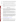- Question 24: Our goal is to work with all sectors of the community to draft state legislation that will allow the creation of an Aquifer Protection Area for a sole-source aquifer. Is this even eligible for CARE?
- Answer: EPA grant funds can not be used for lobbying as the drafting of state legislation would entail.

Questions 25: I can complete a Level I project in 1 year. Can I apply for up to \$100,000 for 1 year?

- Answer: There is nothing in the RFP that says the grant has to be two years long or limits the money to \$50K a year. You must justify why you believe you can do the work half the time but still need all the money.
- Questions 26: Can you tell me when the two conferences that a Level I grant require attendance at would occur so that I can price tickets appropriately? We can be \$580-\$1180 depending upon the month and vacation times.

Answer: The training conference would probably occur between early October to mid November.

## **Bidding Requirements**

Question 27: As the lead sponsor of our application, we are collaborating and proposing to pay for deliverables by a local on the ground not for profit group with whom we have a long working relationship; it is a local member of our national organization. This local group, with strong grassroots connections, is uniquely positioned as a trusted convener locally, but does not have the precise expertise in the issues our proposal will address in their community. We see this as a strong partnership, not subject to putting out to bid.

> A follow up question. To ensure that we reach consensus with a set of grassroots and institutional stakeholders in a well-known and troubled major urban area, we want to include another nonprofit as facilitator with whom we have worked during the last three years. As the prime application sponsor, we need the mentoring and need large group facilitation; our grassroots partner agrees. Does the proposed facilitation work by a nonprofit need to go to bid? *(Received via e-mail)*

Answer: EPA grant regulations requires that procurement transactions be conducted in a manner that provides, to the maximum extent practical, open and free competition. Non-profit organizations and universities whose proposals are tentatively selected for award will be required to follow the procurement standards as outlined in 40 \*CFR 30.41 through 30.48. Local and tribal governmental agencies will be required to follow the procurement standards as outlined in 40 \*CFR 31.36. EPA may request additional documentation regarding subawards/subcontracts when final applications are submitted.  $(* = Code$  of Federal Regulations).

For a copy of 40 CFR, please go to:

[http://www.access.gpo.gov/cgi\\_bin/cfrassemble.cgi?title=200240](http://www.access.gpo.gov/cgi_bin/cfrassemble.cgi?title=200240)

Question 28: If we want to use the services of an employee of one of our partner groups, do we have to go through the competitive procurement process?

Answer: EPA is unable to answer this question without more information as to the status of this partner group employee. If this employee will be paid as a contractor, then that contract would be subject to the competition procedures outlined by the contracting organization. Typically, competition would occur or a satisfactory sole source justification and accompanying cost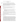## **CARE Definitions**

Question 29: How do you define "risk" as mentioned in the CARE request for initial proposals?

- Answer: Risk is the possibility of a person suffering harm to their health or to the quality of their environment. Risk comes from the exposure of the person or their environment to a toxic substance or pollutant or to the combination several threats. In some cases a substance may be harmful not because it is intrinsically hazardous but because the amount may be so large as to disrupt the natural ecological or biological systems.
- Question 30: Listed under background the paragraph mentions toxic concerns. Could you define toxic concerns?

Would harmful algal blooms and toxic phytoplankton fall under the *other substances in the environment that can cause negative health or environmental impacts?*

Do you consider nitrogen and phosphorous or their toxic outcomes as toxic substances?

Answer: We define toxics as:

"environmental pollutants that cause negative health or environmental impacts. These environmental pollutants can be in the air, water and/or land or in the indoor environment. We are not limiting the term toxics to chemicals listed in one or more statutes or regulations."

Therefore, "toxics concerns" means any interest, worry, anxiety that a community may have because of the existence of toxic substances in its environment and the risks they represent.

 Harmful algal blooms, toxic phytoplankton, nitrogen and phosphorous or their toxic outcomes, would fall under that definition if they were of a sufficient magnitude to cause negative health or environmental impacts in that community.

Question 31: How do you define "community" and "local level?" Specifically, could we apply for work at a statewide level? What about work with a particular community of interest or subpopulation (e.g., children)?

Answer: As stated in the RFP:

"CARE is designed help place-based communities build collaborative partnerships that can work to understand and improve environments at the local level. Since the size of local level place-based communities varies, the Community for a Renewed Environment (CARE) program is not strictly defining the term community. A community is the people living in the same area sharing the same environment, including both residents and businesses. A community will often be in a relatively small area, but in rural locations a larger area would be considered a community. A tribal reservation would normally be considered a community. Eligible CARE partnerships can be formed at the neighborhood level or in larger place-based areas. For purposes of CARE program's focus on building local level capacity, New York City would be considered too large to be a community. However, sections of New York City would be considered communities. Moreover, a subpopulation of a community (e.g., all the schools in a specific area) does not qualify as representing the entire community and would not be eligible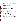for a CARE grant."

Based on this definition, a State is too large of an area and could not be a community. Action at the "local level" means action taken in a community. While a CARE project could, and in many cases will, involve some work that is specific to a subpopulation within a community (such as daycares or schools), those subpopulations would not, by themselves constitute a community. There are certainly many communities that revolve around their local schools, but those schools are not, by themselves, communities.

In addition, a group of locations or subpopulations that are not co-located can not be "joined together" to form a community. For example, all the public housing spread throughout different locations in a city is not a community for purposes of CARE.

## **Leveraging**

Question 32: For Level II applicants, is it better to provide cash or in-kind leveraged funds?

Answer: EPA does not weigh one type more highly than the other.

Question 33: I know it says no match required, but if we have matching funds, should we list them?

Answer: It is your decision whether or not to list matching funds. You should examine the evaluation criteria and see whether listing the matching funds help you demonstrate that you meet the criteria. If you do, you should be prepared to account for them during the project.

## **Working with EPA**

Question 34: When EPA says we can lend technical expertise, what does that mean? What level of technical support will the EPA provide? For example, if we are interested in identifying multiple sources of exposure for a cumulative risk assessment, will EPA be able to provide modeling expertise to help us identify those sources of highest health risk? Or, would we need to bring on an academic partner that could provide that level of technical expertise? Do we need to specify in the application what type of assistance we might need from EPA?

Answer: You do not have to specify the type of assistance you might need. In general EPA sees its role as providing tools, technical assistance and other support. That support can come in the all phases of the CARE project based on the needs of the community. One place you can go to find the kinds of information and tools that EPA has is the CARE Resource Guide which can be found on the CARE website.

> Please note that the specific assistance provided will depend on the situation and needs of the community and will be worked out by the EPA Project Officer and the selected applicants in the performance of the work supported.

> In some cases EPA's technical support could include modeling support. It should be noted that the CARE program has a bias for action. In general, we do not believe that full scale cumulative risk assessments are necessary or appropriate for CARE projects. They are usually too expensive and time consuming. We believe in using screening level assessments, which can include modeling, to help prioritize risks so that communities can move more quickly to take actions that will reduce risk.

Question 35: What is the list of EPA voluntary programs to choose from for the Level II awards?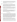Answer: EPA has produced the Voluntary Program Guide which can be found on the CARE website. However, for purposes of applying to the RFP, you do not need to include the specific set of voluntary programs you plan to carry out. It is expected that a community partnership will work with EPA and the State to examine possible voluntary programs that will address the community's priority risks.

Question 36: Is it mandatory to promote or carry out only EPA's voluntary programs?

- Answer: No. While we expect CARE projects to focus on voluntary programs to reduce the impact of toxics and environmental pollutants, we do not require or expect that only EPA voluntary programs will be used. EPA staff will work with the community partnership and provide information on EPA's and other programs. In addition, the other partners will also provide information on other voluntary programs they have or know about. The partnership will then select the programs that best meet their needs and resources.
- Question 37: In the RFP, section "5 Utilization of EPA voluntary programs", under the category two section, there is mention of two voluntary programs "pollution prevention" and "Make a Difference Campaign Programs". I can not find either of these two on the list of voluntary programs listed in the resources. Can you tell me the url to find descriptions of these two programs?

Are new proposals expected to include EPA's voluntary programs already in existence as part of their program goals/objectives?

Answer: The URL for the pollution prevention program is: http://www.epa.gov/p2/. The URL for the Make a Difference Campaign is: http://www.epa.gov/osw/students/choices.htm. More importantly, applicants do not need, and are not expected, to decide at this point what voluntary programs they will use. The decision of what programs to implement need to be made collaboratively by the stakeholder partnership.

#### **CERCLA and Monitoring**

Question 38: Your note, below, says that groups around sites that are CERCLA cleanup sites do not qualify. Can you explain? Do you mean that Superfund related PROJECTS would not be eligible (e.g., the kinds of projects that are eligible under the TAG program)? Or did you mean if the site is a CERCLA site, no matter what you propose in the community, it would not be eligible? Or, put another way, would a project be eligible if it involved a Superfund site IF the project clearly was not about the Superfund cleanup of that site. For example, would sampling for potential airborne emissions (should the community desire that) downwind be a potentially eligible project -- as that has zero to do with the CERCLA cleanup at the site? Or perhaps a series of mediated meetings with site management on pollution prevention technologies -- as that is not related to CERCLA either??? I went through the guidelines and FAQs and other things, and didn't get a clear answer to this. Any help you can offer would be appreciated.

Answer: The CARE grants can't be used to fund work that is typically done under Superfund, e.g., funding cleanup work at a Superfund site or hiring a technical advisor to assist a community in understanding issues associated with a Superfund site cleanup. A community that has a Superfund site in it can be eligible for a CARE grant to assess toxic problems in their community beyond the Superfund site, and to identify ways to reduce the risks from these toxic problems.

> Something like air sampling unrelated to the Superfund site could be covered by a CARE grant, but, a project that seek to use existing air emissions information from sources such as the EPA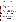Toxics Release Inventory to prioritize toxic problems in a community may be a better CARE project. CARE projects are designed to use readily available information to set priorities and get quickly to risk reduction efforts as opposed to air emission sampling which can be very expensive and time consuming. Air sampling may be necessary for some communities, but funding for this kind of more detailed assessment activity would more likely come from the air monitoring program.

## **Threshold Criteria**

Question 39: Does our project meet the Level II threshold eligibility if our stakeholder group was formed to address a known problem rather than our specific stakeholder group identifying the priority problem?

Answer: In order to meet the Level II threshold eligibility criteria, as stated in the RFP you must represent a partnership that has"... completed a detailed examination of toxics and environmental pollutants in the community which includes more than one environmental media, come to consensus on the specific community priorities for risk reduction, and be prepared to choose a risk reduction to address community priorities and mobilize the community and its partners to carry out this plan."

> Based on the limited information provided, it does not appear that your project meets the established threshold criteria.

Questions 40: I am facilitating a PACE EH process in my community and would like to apply for CARE II funding. Our process will not be complete by the deadline for applications but we expect that it will be completed by the time the funding would arrive in Oct/Nov. 08, we will have come to consensus on the specific community priorities for risk reduction and have a draft plan of action. However, in the CARE RFP, it states that to apply for a CARE II grant, "the applicant must have come to consensus on the community priorities for risk...". Can we still apply although we are only 1/3 of the way through our process? We would hate to have to wait another year to begin implementing risk reduction activities. Thank you for responding to this question!

## Answer: The language of the RFP is what matters. All Level II applications will need to meet the Threshold Criteria which states the applicant:

- must have completed a detailed examination of all or most of the toxic risks in the community including all environmental media (air, water, etc.).
- must have come to consensus on the specific community priorities for risk reduction.
- must be prepared to choose a risk reduction program to address community priorities.

This language means the applicant must meet the Threshold criteria at the time of application.

# **Locations for CARE Communities**

Question 41: Are the LEVEL I awards earmarked for big cities with large populations? With a population of 52,000 would our city be in the running for a Level I grant award?

Answer: None of the cooperative agreements are earmarked for any size of community. EPA is looking for a variety of projects in communities of different sizes with varying types of organizations.

# **Length of CARE Agreement**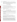Question 42: Our organization is applying for a CARE grant- level I. Is it possible to complete the work in one year instead of two?

Answer: EPA expects that it will take more than a year for a community to achieve the goals of a Level I agreement - i.e. create a broad based stakeholder group, examine the toxics and environmental pollutants risks in the community and achieve consensus on priority risk, etc.. However, there is no problem if the community can achieve those results in a year or less.

#### **Future CARE Competitions**

Question 43: Will there be another round of similar CARE funding in '09?

Are you going to be running the grant competition every year?

- Answer: It is our intent to continue the CARE program and fund additional cooperative agreements in the future but that will depend on future appropriations and budget decisions.
- Question 44: Should I submit my grant this year with the hope that if it doesn't get funded this year, it might be funded next year or the year after that?
- Answer: No. EPA will not save applications that are not awarded this year and use them in future competitions.

#### **Is My Project Eligible for Funding?**

Questions 45: We are a very rural area in on St. John in the US Virgin Islands with only 1500 people. We have stormwater pollutants entering ocean and damaging coral, need for rainwater cistern drinking water to be purified in homes, and an old auto junkyard needing detox and removal. Are any of these needs eligible?

> I am wondering if unsewered communities that discharge to a drainage tile which ultimately goes to a drainage ditch and/or stream would be considered a toxic exposure and would qualify for this CARE program?

Are there grants available for meth cleanup?

Will the CARE Program fund initiatives related to lead poisoning prevention?

We would like to produce and distribute to the residents of our small community, a video outlining how they can prepare for and protect themselves from, these hazards in the event of a release of some kind. We were wondering if funding under the Care Program would be applicable to this application.

Answer: We can not answer specific questions about whether one idea or another is eligible for funding. Not only is it unfair to the other applicants to prejudge a specific idea, it is hard to evaluate projects based on short descriptions. However, in order to give you some guidance we would remind everyone that, as stated in the RFP, under the CARE program communities form collaborative partnerships, develop a comprehensive understanding of all sources of risk from toxics, set priorities, and identify and implement projects to reduce risks through collaborative action at the local level. CARE's long term goal is to help communities build self-sustaining, community-based partnerships that will continue to improve local environments into the future.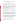Therefore, a particular action could be eligible for funding if it was part of a larger CARE project but CARE does not simply fund the implementation of a specific project.

## **Multi-Media**

Questions 46: Do the projects considered for the CARE grants have to be multi-media, or can the projects be limited to one media (e.g. air)?

> Is it correct to say that we cannot limit its program to multiple sources of contamination to a single medium (like a waterway) without having that medium come out on top during the risk assessment?

- Answer: The CARE program is designed to be a multi media program. We expect communities with a Level I agreement to analyze toxic risks in all media. In order to pass the threshold criteria to be considered for a Level II agreement, a community would have to do have completed a screening level, multi media assessments of toxics in their community. At that point a community which has examined risks from different media would be allowed to set their priorities as they see fit and those priorities could be in one media.
- Question 47: In a previous project in the targeted community, we had assessed air and soil contamination, but not water. Are we required to examine all three media - air, soil, and water - or is two enough?

## Answer: If you look at the threshold criteria it says: "the partnership must have completed a detailed examination of toxics in the community which includes more than one environmental media (air, water, etc.)" (emphasis added)

- Question 48: We are planning to submit an application to address Lead Poisoning and the problems associated with Mold and the problem is trying to identify the multi-media for both pollutants. Air is a media for both and water can easily be identified with Lead but not with Mold. Since we would be addressing two issues would both medias have to address both issues? Could physical contact be accepted as a media? Physical contact in the case of Lead would be actual digestion and with mold it would be if some touched visible mold or got it on their clothing.
- Answer: For purposes of the CARE program we generally consider the indoor environment to be one media and drinking water to be another. Physical contact is not a media, for a pollutant to impact the body, something (matter or energy) must have some contact with the human body. Please remember that being multi-media is only one requirement of the CARE Program. The CARE Program is very competitive, your application will need to do a good job addressing all the CARE Evaluation Criteria in order to successfully compete for funding.

#### **Difference between Grant and Cooperative Agreement**

Question 49: I am unsure what the difference is between a grant and cooperative agreement.

Answer: A cooperative agreement is a type of grant in which EPA has substantial involvement with the grantee and the project.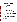# Questions 50: 1: Have you had more interest in Level 1 or Level 2 funding? 2: How many proposals did you receive last year total (Level I & Level II)? Thanks.

Answer: We do not keep track of the number of people expressing interest in the program, much less whether they are interested in Level I or Level II cooperative agreements. Last year we received 130 proposals and there were substantially more Level I proposals then Level II proposals.

# **CARE Training Seminars**

- Questions 51: I have a question about the CARE Grant. Would an applicant be able to apply for the CARE Grant if they had missed the three CARE Internet Seminars?
- Answer: Please feel free to apply. There is no requirement that you attend any of the seminars. However, if you want you can listen to the seminar and see the presentation at http://www.cluin.org/live/archive.cfm.

# **Questions and Answers about the CARE RFP Addition Questions – 1st addendum**

# **Educational Institutions and Related Organizations**

Question 52:I am writing to request clarification of the eligibility requirements for the above referenced solicitation. According to the first paragraph under Eligibility Information on Page 15, "…colleges, and universities could be eligible to apply for CARE funds." However, on the next page, in the paragraph regarding non-profit organizations, it says, "For this purpose, the term non-profit organization" excludes (i) colleges and universities…" I represent The University of - ------------- Center for Research). We are a private, non-profit organization (501c3) affiliated with the University of ----------, and handles the administrative and financial functions of grants for the university. Are we eligible to submit a proposal to this initiative?

> Would a self-supporting program of a state-supported (public) university be an eligible applicant?

Answer: Colleges and universities as well as non-profit organizations can apply for CARE. The only thing is an organization must be either one or the other. This is due to the existence of some administrative differences in the handling of grants to colleges as opposed to nonprofits. For example, the requirements of OMB circular A-122 apply to non-profits and the requirements of OMB circular A-21 apply to institutions of higher learning.

Question 53: Could you clarify that for me, and if a public school was to apply, how might that application might look for consideration?

Answer: A public school would be considered an agency of local government and thus eligible. A local chapter of a Parent Teacher Association or similar organization would be considered a nonprofit. EPA would judge an application from a school the same as other applications. Please note that while a school would be part of a community a school in and of itself is not a community. As we stated in the RFP: